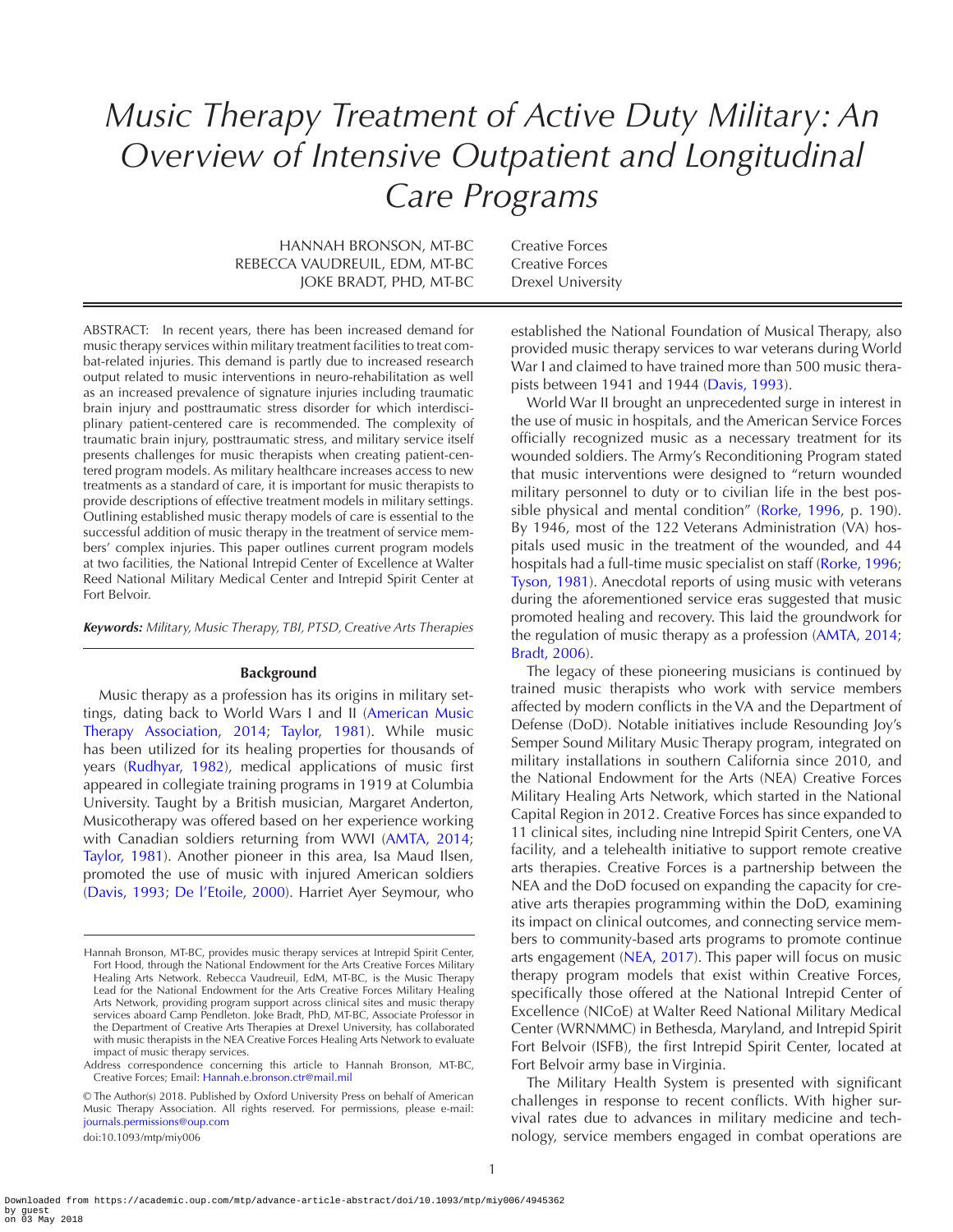# *Music Therapy Treatment of Active Duty Military: An Overview of Intensive Outpatient and Longitudinal Care Programs*

HANNAH BRONSON, MT-BC REBECCA VAUDREUIL, EDM, MT-BC JOKE BRADT, PHD, MT-BC Creative Forces Creative Forces Drexel University

ABSTRACT: In recent years, there has been increased demand for music therapy services within military treatment facilities to treat combat-related injuries. This demand is partly due to increased research output related to music interventions in neuro-rehabilitation as well as an increased prevalence of signature injuries including traumatic brain injury and posttraumatic stress disorder for which interdisciplinary patient-centered care is recommended. The complexity of traumatic brain injury, posttraumatic stress, and military service itself presents challenges for music therapists when creating patient-centered program models. As military healthcare increases access to new treatments as a standard of care, it is important for music therapists to provide descriptions of effective treatment models in military settings. Outlining established music therapy models of care is essential to the successful addition of music therapy in the treatment of service members' complex injuries. This paper outlines current program models at two facilities, the National Intrepid Center of Excellence at Walter Reed National Military Medical Center and Intrepid Spirit Center at Fort Belvoir.

*Keywords: Military, Music Therapy, TBI, PTSD, Creative Arts Therapies*

#### **Background**

Music therapy as a profession has its origins in military settings, dating back to World Wars I and II ([American Music](#page-11-0) [Therapy Association, 2014](#page-11-0); [Taylor, 1981\)](#page-11-1). While music has been utilized for its healing properties for thousands of years [\(Rudhyar, 1982](#page-11-2)), medical applications of music first appeared in collegiate training programs in 1919 at Columbia University. Taught by a British musician, Margaret Anderton, Musicotherapy was offered based on her experience working with Canadian soldiers returning from WWI ([AMTA, 2014;](#page-11-0) [Taylor, 1981](#page-11-1)). Another pioneer in this area, Isa Maud Ilsen, promoted the use of music with injured American soldiers [\(Davis, 1993](#page-11-3); [De l'Etoile, 2000](#page-11-4)). Harriet Ayer Seymour, who

doi:10.1093/mtp/miy006

established the National Foundation of Musical Therapy, also provided music therapy services to war veterans during World War I and claimed to have trained more than 500 music therapists between 1941 and 1944 ([Davis, 1993](#page-11-3)).

World War II brought an unprecedented surge in interest in the use of music in hospitals, and the American Service Forces officially recognized music as a necessary treatment for its wounded soldiers. The Army's Reconditioning Program stated that music interventions were designed to "return wounded military personnel to duty or to civilian life in the best possible physical and mental condition" ([Rorke, 1996](#page-11-5), p. 190). By 1946, most of the 122 Veterans Administration (VA) hospitals used music in the treatment of the wounded, and 44 hospitals had a full-time music specialist on staff [\(Rorke, 1996;](#page-11-5) [Tyson, 1981\)](#page-11-6). Anecdotal reports of using music with veterans during the aforementioned service eras suggested that music promoted healing and recovery. This laid the groundwork for the regulation of music therapy as a profession ([AMTA, 2014;](#page-11-0) [Bradt, 2006](#page-11-7)).

The legacy of these pioneering musicians is continued by trained music therapists who work with service members affected by modern conflicts in the VA and the Department of Defense (DoD). Notable initiatives include Resounding Joy's Semper Sound Military Music Therapy program, integrated on military installations in southern California since 2010, and the National Endowment for the Arts (NEA) Creative Forces Military Healing Arts Network, which started in the National Capital Region in 2012. Creative Forces has since expanded to 11 clinical sites, including nine Intrepid Spirit Centers, one VA facility, and a telehealth initiative to support remote creative arts therapies. Creative Forces is a partnership between the NEA and the DoD focused on expanding the capacity for creative arts therapies programming within the DoD, examining its impact on clinical outcomes, and connecting service members to community-based arts programs to promote continue arts engagement ([NEA, 2017\)](#page-11-8). This paper will focus on music therapy program models that exist within Creative Forces, specifically those offered at the National Intrepid Center of Excellence (NICoE) at Walter Reed National Military Medical Center (WRNMMC) in Bethesda, Maryland, and Intrepid Spirit Fort Belvoir (ISFB), the first Intrepid Spirit Center, located at Fort Belvoir army base in Virginia.

The Military Health System is presented with significant challenges in response to recent conflicts. With higher survival rates due to advances in military medicine and technology, service members engaged in combat operations are

Hannah Bronson, MT-BC, provides music therapy services at Intrepid Spirit Center, Fort Hood, through the National Endowment for the Arts Creative Forces Military Healing Arts Network. Rebecca Vaudreuil, EdM, MT-BC, is the Music Therapy Lead for the National Endowment for the Arts Creative Forces Military Healing Arts Network, providing program support across clinical sites and music therapy services aboard Camp Pendleton. Joke Bradt, PhD, MT-BC, Associate Professor in the Department of Creative Arts Therapies at Drexel University, has collaborated with music therapists in the NEA Creative Forces Healing Arts Network to evaluate impact of music therapy services.

Address correspondence concerning this article to Hannah Bronson, MT-BC, Creative Forces; Email: [Hannah.e.bronson.ctr@mail.mil](mailto:Hannah.e.bronson.ctr@mail.mil?subject=)

<sup>©</sup> The Author(s) 2018. Published by Oxford University Press on behalf of American Music Therapy Association. All rights reserved. For permissions, please e-mail: [journals.permissions@oup.com](mailto:journals.permissions@oup.com?subject=)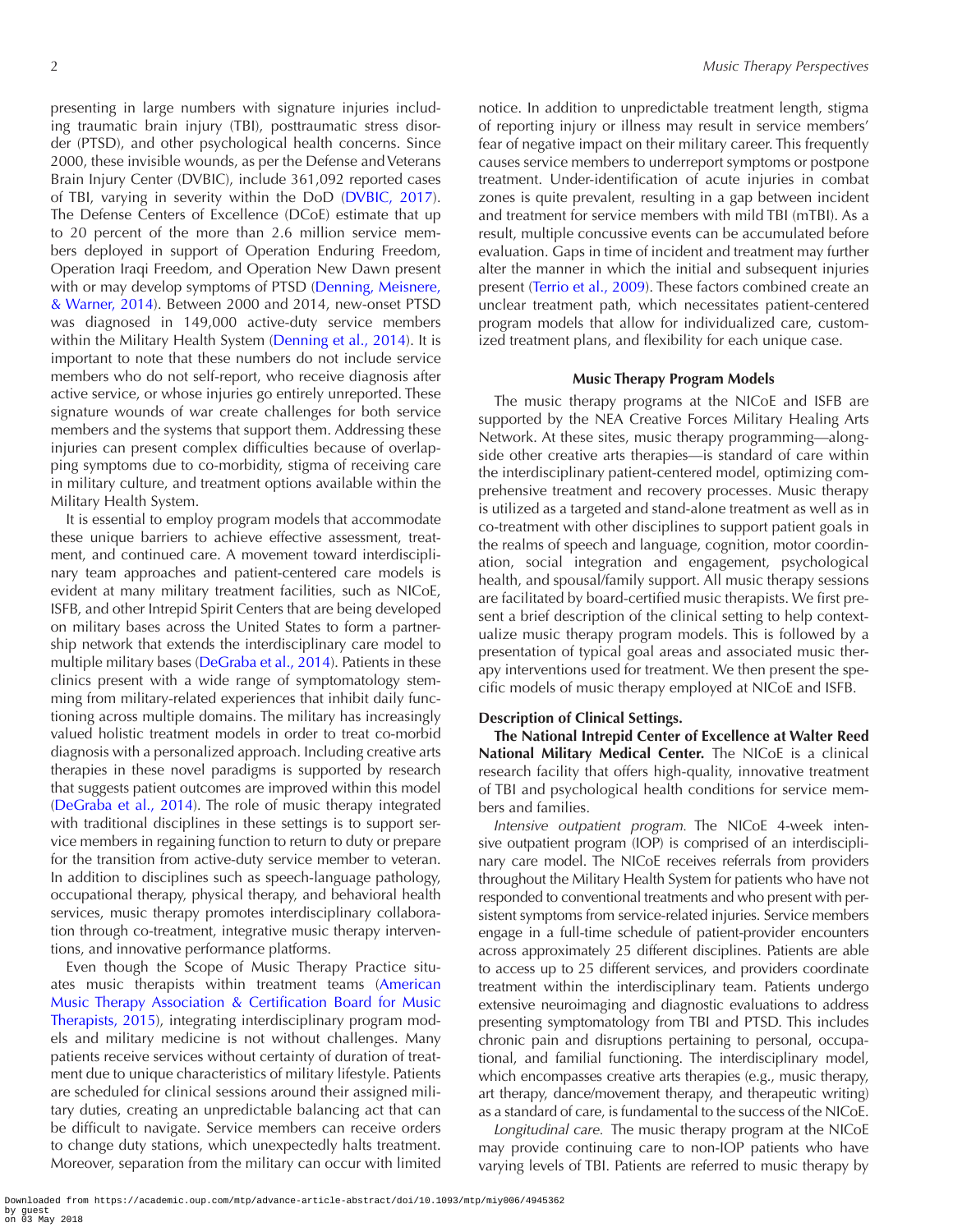presenting in large numbers with signature injuries including traumatic brain injury (TBI), posttraumatic stress disorder (PTSD), and other psychological health concerns. Since 2000, these invisible wounds, as per the Defense and Veterans Brain Injury Center (DVBIC), include 361,092 reported cases of TBI, varying in severity within the DoD ([DVBIC, 2017](#page-11-9)). The Defense Centers of Excellence (DCoE) estimate that up to 20 percent of the more than 2.6 million service members deployed in support of Operation Enduring Freedom, Operation Iraqi Freedom, and Operation New Dawn present with or may develop symptoms of PTSD (Denning, Meisnere, [& Warner, 2014\)](#page-11-10). Between 2000 and 2014, new-onset PTSD was diagnosed in 149,000 active-duty service members within the Military Health System ([Denning et al., 2014\)](#page-11-10). It is important to note that these numbers do not include service members who do not self-report, who receive diagnosis after active service, or whose injuries go entirely unreported. These signature wounds of war create challenges for both service members and the systems that support them. Addressing these injuries can present complex difficulties because of overlapping symptoms due to co-morbidity, stigma of receiving care in military culture, and treatment options available within the Military Health System.

It is essential to employ program models that accommodate these unique barriers to achieve effective assessment, treatment, and continued care. A movement toward interdisciplinary team approaches and patient-centered care models is evident at many military treatment facilities, such as NICoE, ISFB, and other Intrepid Spirit Centers that are being developed on military bases across the United States to form a partnership network that extends the interdisciplinary care model to multiple military bases ([DeGraba et al., 2014](#page-11-11)). Patients in these clinics present with a wide range of symptomatology stemming from military-related experiences that inhibit daily functioning across multiple domains. The military has increasingly valued holistic treatment models in order to treat co-morbid diagnosis with a personalized approach. Including creative arts therapies in these novel paradigms is supported by research that suggests patient outcomes are improved within this model [\(DeGraba et al., 2014](#page-11-11)). The role of music therapy integrated with traditional disciplines in these settings is to support service members in regaining function to return to duty or prepare for the transition from active-duty service member to veteran. In addition to disciplines such as speech-language pathology, occupational therapy, physical therapy, and behavioral health services, music therapy promotes interdisciplinary collaboration through co-treatment, integrative music therapy interventions, and innovative performance platforms.

Even though the Scope of Music Therapy Practice situates music therapists within treatment teams ([American](#page-11-12)  [Music Therapy Association & Certification Board for Music](#page-11-12)  [Therapists, 2015](#page-11-12)), integrating interdisciplinary program models and military medicine is not without challenges. Many patients receive services without certainty of duration of treatment due to unique characteristics of military lifestyle. Patients are scheduled for clinical sessions around their assigned military duties, creating an unpredictable balancing act that can be difficult to navigate. Service members can receive orders to change duty stations, which unexpectedly halts treatment. Moreover, separation from the military can occur with limited

notice. In addition to unpredictable treatment length, stigma of reporting injury or illness may result in service members' fear of negative impact on their military career. This frequently causes service members to underreport symptoms or postpone treatment. Under-identification of acute injuries in combat zones is quite prevalent, resulting in a gap between incident and treatment for service members with mild TBI (mTBI). As a result, multiple concussive events can be accumulated before evaluation. Gaps in time of incident and treatment may further alter the manner in which the initial and subsequent injuries present [\(Terrio et al., 2009\)](#page-11-13). These factors combined create an unclear treatment path, which necessitates patient-centered program models that allow for individualized care, customized treatment plans, and flexibility for each unique case.

#### **Music Therapy Program Models**

The music therapy programs at the NICoE and ISFB are supported by the NEA Creative Forces Military Healing Arts Network. At these sites, music therapy programming—alongside other creative arts therapies—is standard of care within the interdisciplinary patient-centered model, optimizing comprehensive treatment and recovery processes. Music therapy is utilized as a targeted and stand-alone treatment as well as in co-treatment with other disciplines to support patient goals in the realms of speech and language, cognition, motor coordination, social integration and engagement, psychological health, and spousal/family support. All music therapy sessions are facilitated by board-certified music therapists. We first present a brief description of the clinical setting to help contextualize music therapy program models. This is followed by a presentation of typical goal areas and associated music therapy interventions used for treatment. We then present the specific models of music therapy employed at NICoE and ISFB.

#### **Description of Clinical Settings.**

**The National Intrepid Center of Excellence at Walter Reed National Military Medical Center.** The NICoE is a clinical research facility that offers high-quality, innovative treatment of TBI and psychological health conditions for service members and families.

*Intensive outpatient program.* The NICoE 4-week intensive outpatient program (IOP) is comprised of an interdisciplinary care model. The NICoE receives referrals from providers throughout the Military Health System for patients who have not responded to conventional treatments and who present with persistent symptoms from service-related injuries. Service members engage in a full-time schedule of patient-provider encounters across approximately 25 different disciplines. Patients are able to access up to 25 different services, and providers coordinate treatment within the interdisciplinary team. Patients undergo extensive neuroimaging and diagnostic evaluations to address presenting symptomatology from TBI and PTSD. This includes chronic pain and disruptions pertaining to personal, occupational, and familial functioning. The interdisciplinary model, which encompasses creative arts therapies (e.g., music therapy, art therapy, dance/movement therapy, and therapeutic writing) as a standard of care, is fundamental to the success of the NICoE.

*Longitudinal care.* The music therapy program at the NICoE may provide continuing care to non-IOP patients who have varying levels of TBI. Patients are referred to music therapy by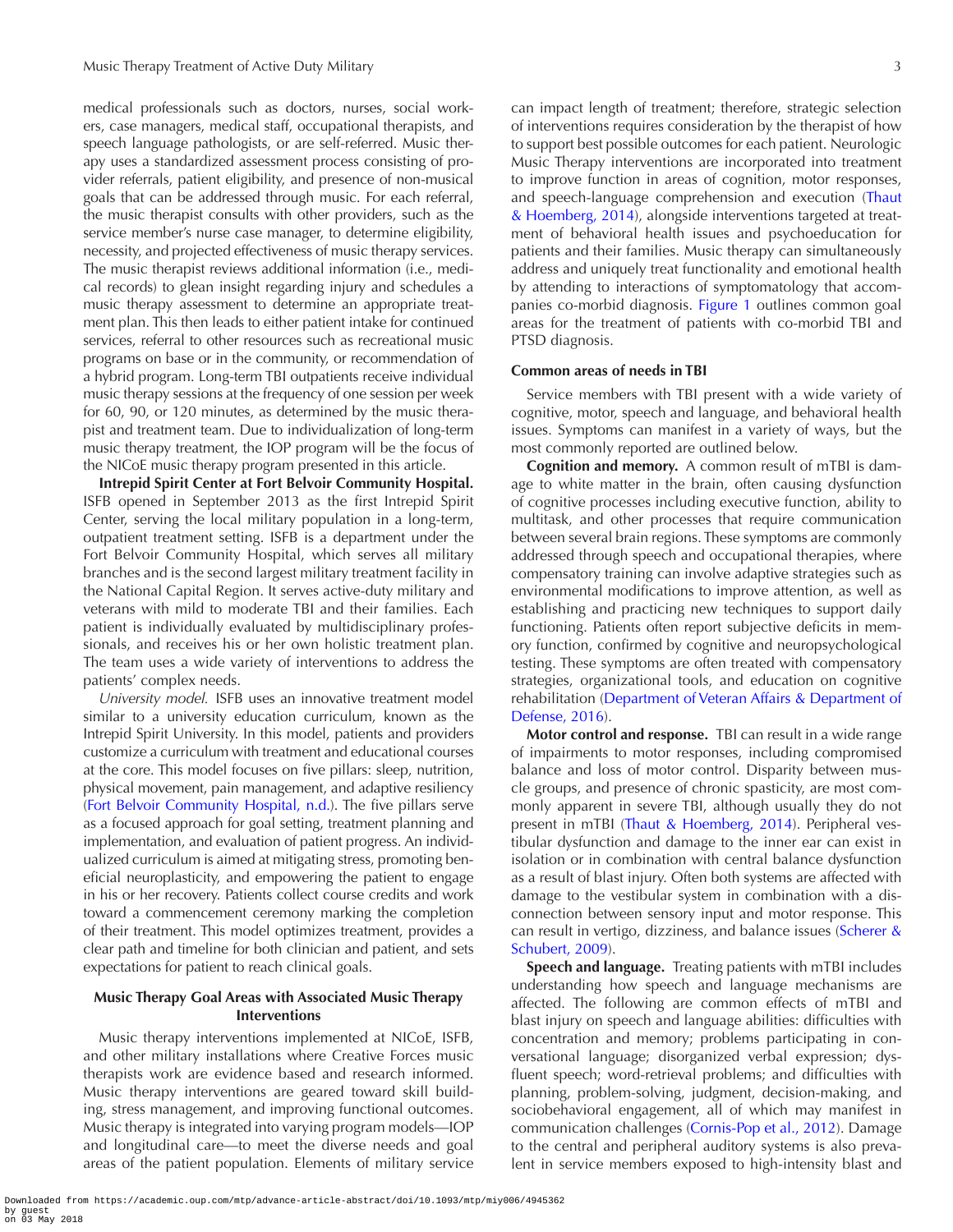medical professionals such as doctors, nurses, social workers, case managers, medical staff, occupational therapists, and speech language pathologists, or are self-referred. Music therapy uses a standardized assessment process consisting of provider referrals, patient eligibility, and presence of non-musical goals that can be addressed through music. For each referral, the music therapist consults with other providers, such as the service member's nurse case manager, to determine eligibility, necessity, and projected effectiveness of music therapy services. The music therapist reviews additional information (i.e., medical records) to glean insight regarding injury and schedules a music therapy assessment to determine an appropriate treatment plan. This then leads to either patient intake for continued services, referral to other resources such as recreational music programs on base or in the community, or recommendation of a hybrid program. Long-term TBI outpatients receive individual music therapy sessions at the frequency of one session per week for 60, 90, or 120 minutes, as determined by the music therapist and treatment team. Due to individualization of long-term music therapy treatment, the IOP program will be the focus of the NICoE music therapy program presented in this article.

**Intrepid Spirit Center at Fort Belvoir Community Hospital.** ISFB opened in September 2013 as the first Intrepid Spirit Center, serving the local military population in a long-term, outpatient treatment setting. ISFB is a department under the Fort Belvoir Community Hospital, which serves all military branches and is the second largest military treatment facility in the National Capital Region. It serves active-duty military and veterans with mild to moderate TBI and their families. Each patient is individually evaluated by multidisciplinary professionals, and receives his or her own holistic treatment plan. The team uses a wide variety of interventions to address the patients' complex needs.

*University model.* ISFB uses an innovative treatment model similar to a university education curriculum, known as the Intrepid Spirit University. In this model, patients and providers customize a curriculum with treatment and educational courses at the core. This model focuses on five pillars: sleep, nutrition, physical movement, pain management, and adaptive resiliency [\(Fort Belvoir Community Hospital, n.d.](#page-11-14)). The five pillars serve as a focused approach for goal setting, treatment planning and implementation, and evaluation of patient progress. An individualized curriculum is aimed at mitigating stress, promoting beneficial neuroplasticity, and empowering the patient to engage in his or her recovery. Patients collect course credits and work toward a commencement ceremony marking the completion of their treatment. This model optimizes treatment, provides a clear path and timeline for both clinician and patient, and sets expectations for patient to reach clinical goals.

## **Music Therapy Goal Areas with Associated Music Therapy Interventions**

Music therapy interventions implemented at NICoE, ISFB, and other military installations where Creative Forces music therapists work are evidence based and research informed. Music therapy interventions are geared toward skill building, stress management, and improving functional outcomes. Music therapy is integrated into varying program models—IOP and longitudinal care—to meet the diverse needs and goal areas of the patient population. Elements of military service can impact length of treatment; therefore, strategic selection of interventions requires consideration by the therapist of how to support best possible outcomes for each patient. Neurologic Music Therapy interventions are incorporated into treatment to improve function in areas of cognition, motor responses, and speech-language comprehension and execution ([Thaut](#page-11-15)  [& Hoemberg, 2014\)](#page-11-15), alongside interventions targeted at treatment of behavioral health issues and psychoeducation for patients and their families. Music therapy can simultaneously address and uniquely treat functionality and emotional health by attending to interactions of symptomatology that accom-panies co-morbid diagnosis. [Figure 1](#page-3-0) outlines common goal areas for the treatment of patients with co-morbid TBI and PTSD diagnosis.

#### **Common areas of needs in TBI**

Service members with TBI present with a wide variety of cognitive, motor, speech and language, and behavioral health issues. Symptoms can manifest in a variety of ways, but the most commonly reported are outlined below.

**Cognition and memory.** A common result of mTBI is damage to white matter in the brain, often causing dysfunction of cognitive processes including executive function, ability to multitask, and other processes that require communication between several brain regions. These symptoms are commonly addressed through speech and occupational therapies, where compensatory training can involve adaptive strategies such as environmental modifications to improve attention, as well as establishing and practicing new techniques to support daily functioning. Patients often report subjective deficits in memory function, confirmed by cognitive and neuropsychological testing. These symptoms are often treated with compensatory strategies, organizational tools, and education on cognitive rehabilitation [\(Department of Veteran Affairs & Department of](#page-11-16)  [Defense, 2016](#page-11-16)).

**Motor control and response.** TBI can result in a wide range of impairments to motor responses, including compromised balance and loss of motor control. Disparity between muscle groups, and presence of chronic spasticity, are most commonly apparent in severe TBI, although usually they do not present in mTBI [\(Thaut & Hoemberg, 2014](#page-11-15)). Peripheral vestibular dysfunction and damage to the inner ear can exist in isolation or in combination with central balance dysfunction as a result of blast injury. Often both systems are affected with damage to the vestibular system in combination with a disconnection between sensory input and motor response. This can result in vertigo, dizziness, and balance issues ([Scherer &](#page-11-17)  [Schubert, 2009\)](#page-11-17).

**Speech and language.** Treating patients with mTBI includes understanding how speech and language mechanisms are affected. The following are common effects of mTBI and blast injury on speech and language abilities: difficulties with concentration and memory; problems participating in conversational language; disorganized verbal expression; dysfluent speech; word-retrieval problems; and difficulties with planning, problem-solving, judgment, decision-making, and sociobehavioral engagement, all of which may manifest in communication challenges ([Cornis-Pop et al., 2012](#page-11-18)). Damage to the central and peripheral auditory systems is also prevalent in service members exposed to high-intensity blast and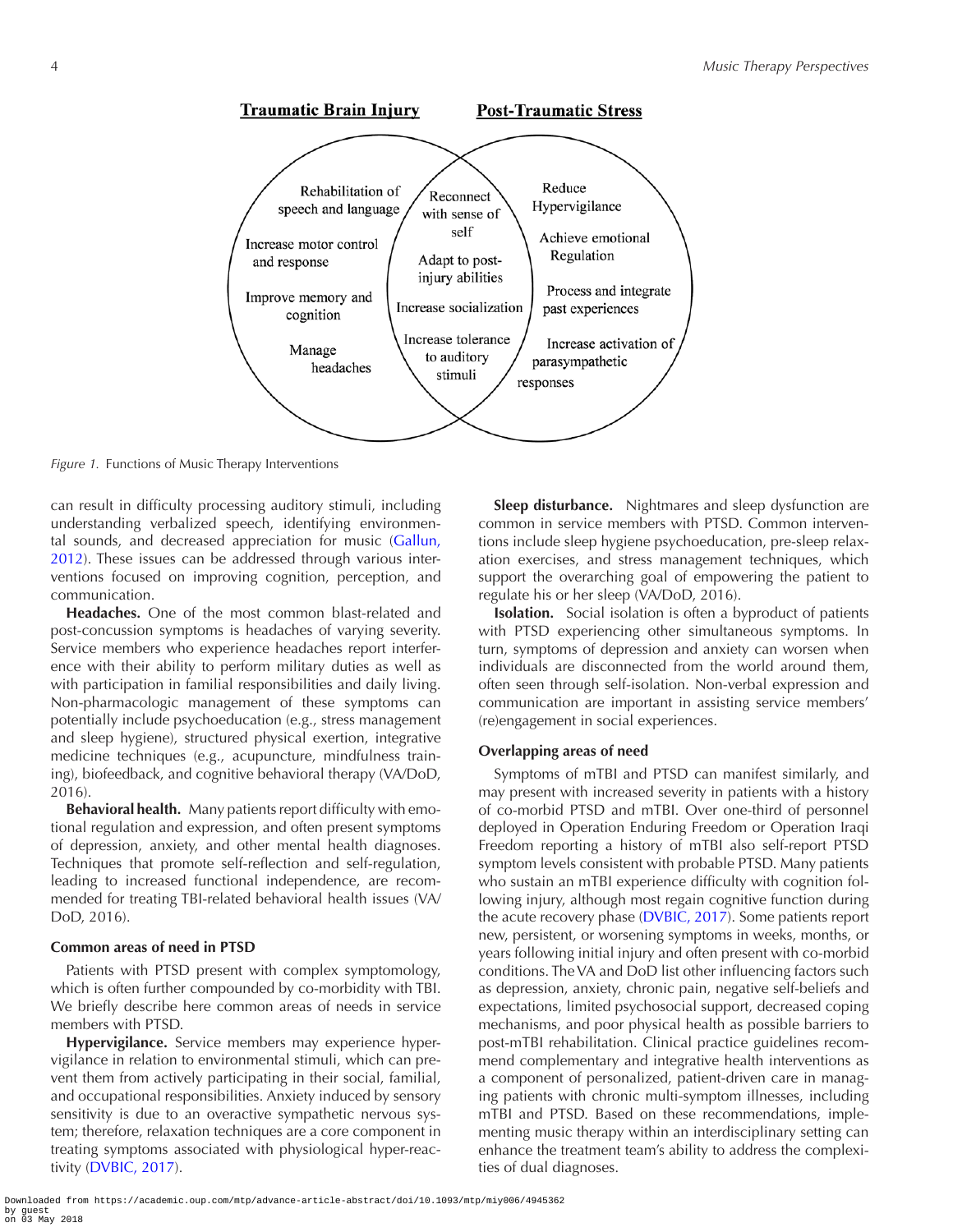

*Figure 1.* Functions of Music Therapy Interventions

can result in difficulty processing auditory stimuli, including understanding verbalized speech, identifying environmental sounds, and decreased appreciation for music ([Gallun,](#page-11-19)  [2012\)](#page-11-19). These issues can be addressed through various interventions focused on improving cognition, perception, and communication.

**Headaches.** One of the most common blast-related and post-concussion symptoms is headaches of varying severity. Service members who experience headaches report interference with their ability to perform military duties as well as with participation in familial responsibilities and daily living. Non-pharmacologic management of these symptoms can potentially include psychoeducation (e.g., stress management and sleep hygiene), structured physical exertion, integrative medicine techniques (e.g., acupuncture, mindfulness training), biofeedback, and cognitive behavioral therapy (VA/DoD, 2016).

**Behavioral health.** Many patients report difficulty with emotional regulation and expression, and often present symptoms of depression, anxiety, and other mental health diagnoses. Techniques that promote self-reflection and self-regulation, leading to increased functional independence, are recommended for treating TBI-related behavioral health issues (VA/ DoD, 2016).

#### **Common areas of need in PTSD**

Patients with PTSD present with complex symptomology, which is often further compounded by co-morbidity with TBI. We briefly describe here common areas of needs in service members with PTSD.

**Hypervigilance.** Service members may experience hypervigilance in relation to environmental stimuli, which can prevent them from actively participating in their social, familial, and occupational responsibilities. Anxiety induced by sensory sensitivity is due to an overactive sympathetic nervous system; therefore, relaxation techniques are a core component in treating symptoms associated with physiological hyper-reactivity ([DVBIC, 2017](#page-11-9)).

<span id="page-3-0"></span>**Sleep disturbance.** Nightmares and sleep dysfunction are common in service members with PTSD. Common interventions include sleep hygiene psychoeducation, pre-sleep relaxation exercises, and stress management techniques, which support the overarching goal of empowering the patient to regulate his or her sleep (VA/DoD, 2016).

**Isolation.** Social isolation is often a byproduct of patients with PTSD experiencing other simultaneous symptoms. In turn, symptoms of depression and anxiety can worsen when individuals are disconnected from the world around them, often seen through self-isolation. Non-verbal expression and communication are important in assisting service members' (re)engagement in social experiences.

# **Overlapping areas of need**

Symptoms of mTBI and PTSD can manifest similarly, and may present with increased severity in patients with a history of co-morbid PTSD and mTBI. Over one-third of personnel deployed in Operation Enduring Freedom or Operation Iraqi Freedom reporting a history of mTBI also self-report PTSD symptom levels consistent with probable PTSD. Many patients who sustain an mTBI experience difficulty with cognition following injury, although most regain cognitive function during the acute recovery phase [\(DVBIC, 2017\)](#page-11-9). Some patients report new, persistent, or worsening symptoms in weeks, months, or years following initial injury and often present with co-morbid conditions. The VA and DoD list other influencing factors such as depression, anxiety, chronic pain, negative self-beliefs and expectations, limited psychosocial support, decreased coping mechanisms, and poor physical health as possible barriers to post-mTBI rehabilitation. Clinical practice guidelines recommend complementary and integrative health interventions as a component of personalized, patient-driven care in managing patients with chronic multi-symptom illnesses, including mTBI and PTSD. Based on these recommendations, implementing music therapy within an interdisciplinary setting can enhance the treatment team's ability to address the complexities of dual diagnoses.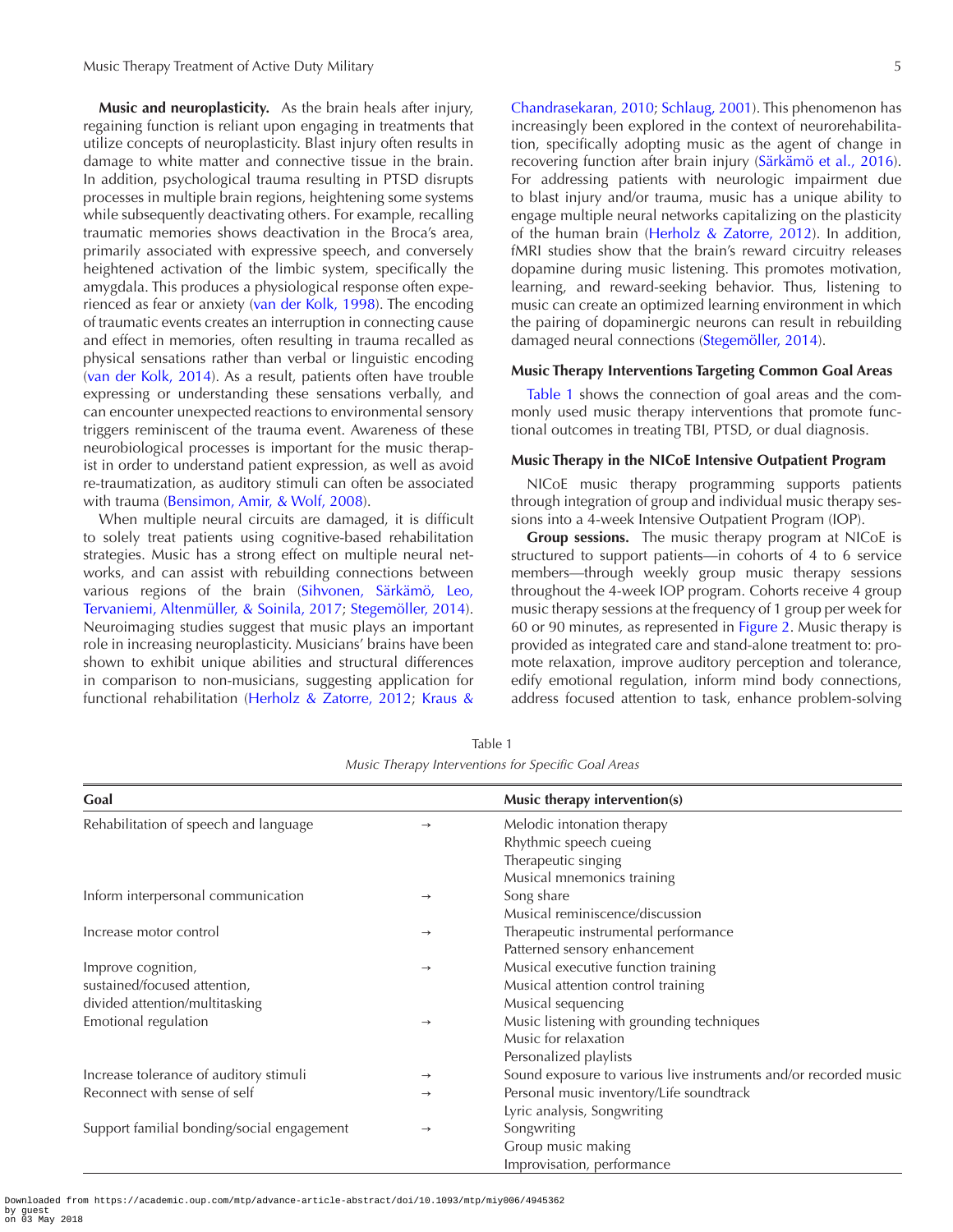**Music and neuroplasticity.** As the brain heals after injury, regaining function is reliant upon engaging in treatments that utilize concepts of neuroplasticity. Blast injury often results in damage to white matter and connective tissue in the brain. In addition, psychological trauma resulting in PTSD disrupts processes in multiple brain regions, heightening some systems while subsequently deactivating others. For example, recalling traumatic memories shows deactivation in the Broca's area, primarily associated with expressive speech, and conversely heightened activation of the limbic system, specifically the amygdala. This produces a physiological response often experienced as fear or anxiety ([van der Kolk, 1998](#page-11-20)). The encoding of traumatic events creates an interruption in connecting cause and effect in memories, often resulting in trauma recalled as physical sensations rather than verbal or linguistic encoding [\(van der Kolk, 2014\)](#page-11-21). As a result, patients often have trouble expressing or understanding these sensations verbally, and can encounter unexpected reactions to environmental sensory triggers reminiscent of the trauma event. Awareness of these neurobiological processes is important for the music therapist in order to understand patient expression, as well as avoid re-traumatization, as auditory stimuli can often be associated with trauma ([Bensimon, Amir, & Wolf, 2008](#page-11-22)).

When multiple neural circuits are damaged, it is difficult to solely treat patients using cognitive-based rehabilitation strategies. Music has a strong effect on multiple neural networks, and can assist with rebuilding connections between various regions of the brain ([Sihvonen, Särkämö, Leo,](#page-11-23) [Tervaniemi, Altenmüller, & Soinila, 2017](#page-11-23); [Stegemöller, 2014](#page-11-24)). Neuroimaging studies suggest that music plays an important role in increasing neuroplasticity. Musicians' brains have been shown to exhibit unique abilities and structural differences in comparison to non-musicians, suggesting application for functional rehabilitation ([Herholz & Zatorre, 2012;](#page-11-25) [Kraus &](#page-11-26)

[Chandrasekaran, 2010](#page-11-26); [Schlaug, 2001](#page-11-27)). This phenomenon has increasingly been explored in the context of neurorehabilitation, specifically adopting music as the agent of change in recovering function after brain injury ([Särkämö et al., 2016](#page-11-28)). For addressing patients with neurologic impairment due to blast injury and/or trauma, music has a unique ability to engage multiple neural networks capitalizing on the plasticity of the human brain ([Herholz & Zatorre, 2012](#page-11-25)). In addition, fMRI studies show that the brain's reward circuitry releases dopamine during music listening. This promotes motivation, learning, and reward-seeking behavior. Thus, listening to music can create an optimized learning environment in which the pairing of dopaminergic neurons can result in rebuilding damaged neural connections ([Stegemöller, 2014\)](#page-11-24).

#### **Music Therapy Interventions Targeting Common Goal Areas**

[Table 1](#page-4-0) shows the connection of goal areas and the commonly used music therapy interventions that promote functional outcomes in treating TBI, PTSD, or dual diagnosis.

#### **Music Therapy in the NICoE Intensive Outpatient Program**

NICoE music therapy programming supports patients through integration of group and individual music therapy sessions into a 4-week Intensive Outpatient Program (IOP).

<span id="page-4-0"></span>**Group sessions.** The music therapy program at NICoE is structured to support patients—in cohorts of 4 to 6 service members—through weekly group music therapy sessions throughout the 4-week IOP program. Cohorts receive 4 group music therapy sessions at the frequency of 1 group per week for 60 or 90 minutes, as represented in [Figure 2.](#page-5-0) Music therapy is provided as integrated care and stand-alone treatment to: promote relaxation, improve auditory perception and tolerance, edify emotional regulation, inform mind body connections, address focused attention to task, enhance problem-solving

| Goal                                       |               | Music therapy intervention(s)                                    |  |
|--------------------------------------------|---------------|------------------------------------------------------------------|--|
| Rehabilitation of speech and language      |               | Melodic intonation therapy                                       |  |
|                                            |               | Rhythmic speech cueing                                           |  |
|                                            |               | Therapeutic singing                                              |  |
|                                            |               | Musical mnemonics training                                       |  |
| Inform interpersonal communication         |               | Song share                                                       |  |
|                                            |               | Musical reminiscence/discussion                                  |  |
| Increase motor control                     | $\rightarrow$ | Therapeutic instrumental performance                             |  |
|                                            |               | Patterned sensory enhancement                                    |  |
| Improve cognition,                         |               | Musical executive function training                              |  |
| sustained/focused attention,               |               | Musical attention control training                               |  |
| divided attention/multitasking             |               | Musical sequencing                                               |  |
| Emotional regulation                       |               | Music listening with grounding techniques                        |  |
|                                            |               | Music for relaxation                                             |  |
|                                            |               | Personalized playlists                                           |  |
| Increase tolerance of auditory stimuli     |               | Sound exposure to various live instruments and/or recorded music |  |
| Reconnect with sense of self               | $\rightarrow$ | Personal music inventory/Life soundtrack                         |  |
|                                            |               | Lyric analysis, Songwriting                                      |  |
| Support familial bonding/social engagement | Songwriting   |                                                                  |  |
|                                            |               | Group music making                                               |  |
|                                            |               | Improvisation, performance                                       |  |

Table 1 *Music Therapy Interventions for Specific Goal Areas*

Downloaded from https://academic.oup.com/mtp/advance-article-abstract/doi/10.1093/mtp/miy006/4945362 by guest on 03 May 2018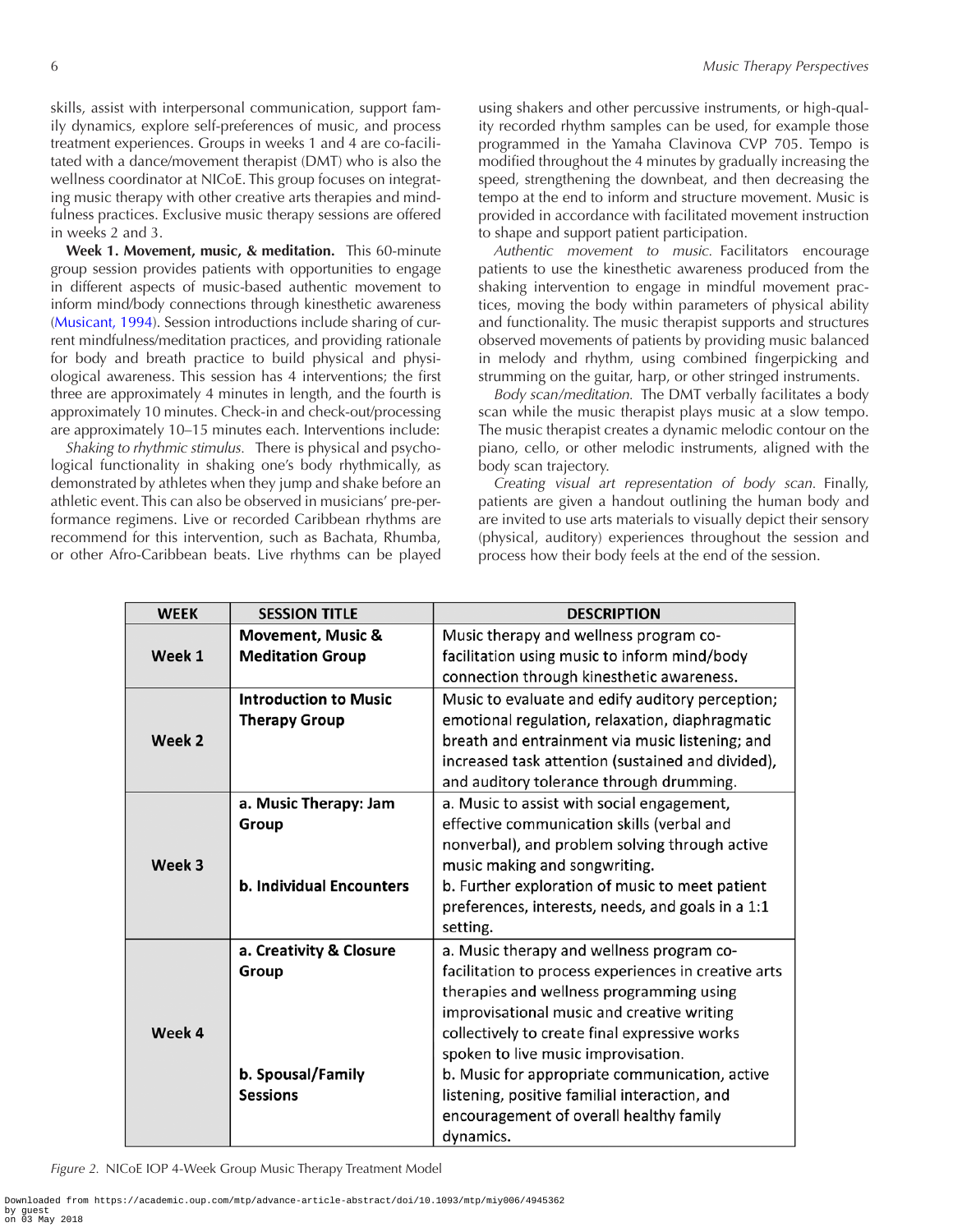skills, assist with interpersonal communication, support family dynamics, explore self-preferences of music, and process treatment experiences. Groups in weeks 1 and 4 are co-facilitated with a dance/movement therapist (DMT) who is also the wellness coordinator at NICoE. This group focuses on integrating music therapy with other creative arts therapies and mindfulness practices. Exclusive music therapy sessions are offered in weeks 2 and 3.

**Week 1. Movement, music, & meditation.** This 60-minute group session provides patients with opportunities to engage in different aspects of music-based authentic movement to inform mind/body connections through kinesthetic awareness [\(Musicant, 1994](#page-11-29)). Session introductions include sharing of current mindfulness/meditation practices, and providing rationale for body and breath practice to build physical and physiological awareness. This session has 4 interventions; the first three are approximately 4 minutes in length, and the fourth is approximately 10 minutes. Check-in and check-out/processing are approximately 10–15 minutes each. Interventions include:

*Shaking to rhythmic stimulus.* There is physical and psychological functionality in shaking one's body rhythmically, as demonstrated by athletes when they jump and shake before an athletic event. This can also be observed in musicians' pre-performance regimens. Live or recorded Caribbean rhythms are recommend for this intervention, such as Bachata, Rhumba, or other Afro-Caribbean beats. Live rhythms can be played

using shakers and other percussive instruments, or high-quality recorded rhythm samples can be used, for example those programmed in the Yamaha Clavinova CVP 705. Tempo is modified throughout the 4 minutes by gradually increasing the speed, strengthening the downbeat, and then decreasing the tempo at the end to inform and structure movement. Music is provided in accordance with facilitated movement instruction to shape and support patient participation.

*Authentic movement to music.* Facilitators encourage patients to use the kinesthetic awareness produced from the shaking intervention to engage in mindful movement practices, moving the body within parameters of physical ability and functionality. The music therapist supports and structures observed movements of patients by providing music balanced in melody and rhythm, using combined fingerpicking and strumming on the guitar, harp, or other stringed instruments.

*Body scan/meditation.* The DMT verbally facilitates a body scan while the music therapist plays music at a slow tempo. The music therapist creates a dynamic melodic contour on the piano, cello, or other melodic instruments, aligned with the body scan trajectory.

*Creating visual art representation of body scan.* Finally, patients are given a handout outlining the human body and are invited to use arts materials to visually depict their sensory (physical, auditory) experiences throughout the session and process how their body feels at the end of the session.

| <b>WEEK</b> | <b>SESSION TITLE</b>                                                     | <b>DESCRIPTION</b>                                                                                                                                                                                                                                                                                                                                                                                                                             |  |  |
|-------------|--------------------------------------------------------------------------|------------------------------------------------------------------------------------------------------------------------------------------------------------------------------------------------------------------------------------------------------------------------------------------------------------------------------------------------------------------------------------------------------------------------------------------------|--|--|
| Week 1      | <b>Movement, Music &amp;</b><br><b>Meditation Group</b>                  | Music therapy and wellness program co-<br>facilitation using music to inform mind/body<br>connection through kinesthetic awareness.                                                                                                                                                                                                                                                                                                            |  |  |
| Week 2      | <b>Introduction to Music</b><br><b>Therapy Group</b>                     | Music to evaluate and edify auditory perception;<br>emotional regulation, relaxation, diaphragmatic<br>breath and entrainment via music listening; and<br>increased task attention (sustained and divided),<br>and auditory tolerance through drumming.                                                                                                                                                                                        |  |  |
| Week 3      | a. Music Therapy: Jam<br>Group<br><b>b. Individual Encounters</b>        | a. Music to assist with social engagement,<br>effective communication skills (verbal and<br>nonverbal), and problem solving through active<br>music making and songwriting.<br>b. Further exploration of music to meet patient<br>preferences, interests, needs, and goals in a 1:1<br>setting.                                                                                                                                                |  |  |
| Week 4      | a. Creativity & Closure<br>Group<br>b. Spousal/Family<br><b>Sessions</b> | a. Music therapy and wellness program co-<br>facilitation to process experiences in creative arts<br>therapies and wellness programming using<br>improvisational music and creative writing<br>collectively to create final expressive works<br>spoken to live music improvisation.<br>b. Music for appropriate communication, active<br>listening, positive familial interaction, and<br>encouragement of overall healthy family<br>dynamics. |  |  |

<span id="page-5-0"></span>*Figure 2.* NICoE IOP 4-Week Group Music Therapy Treatment Model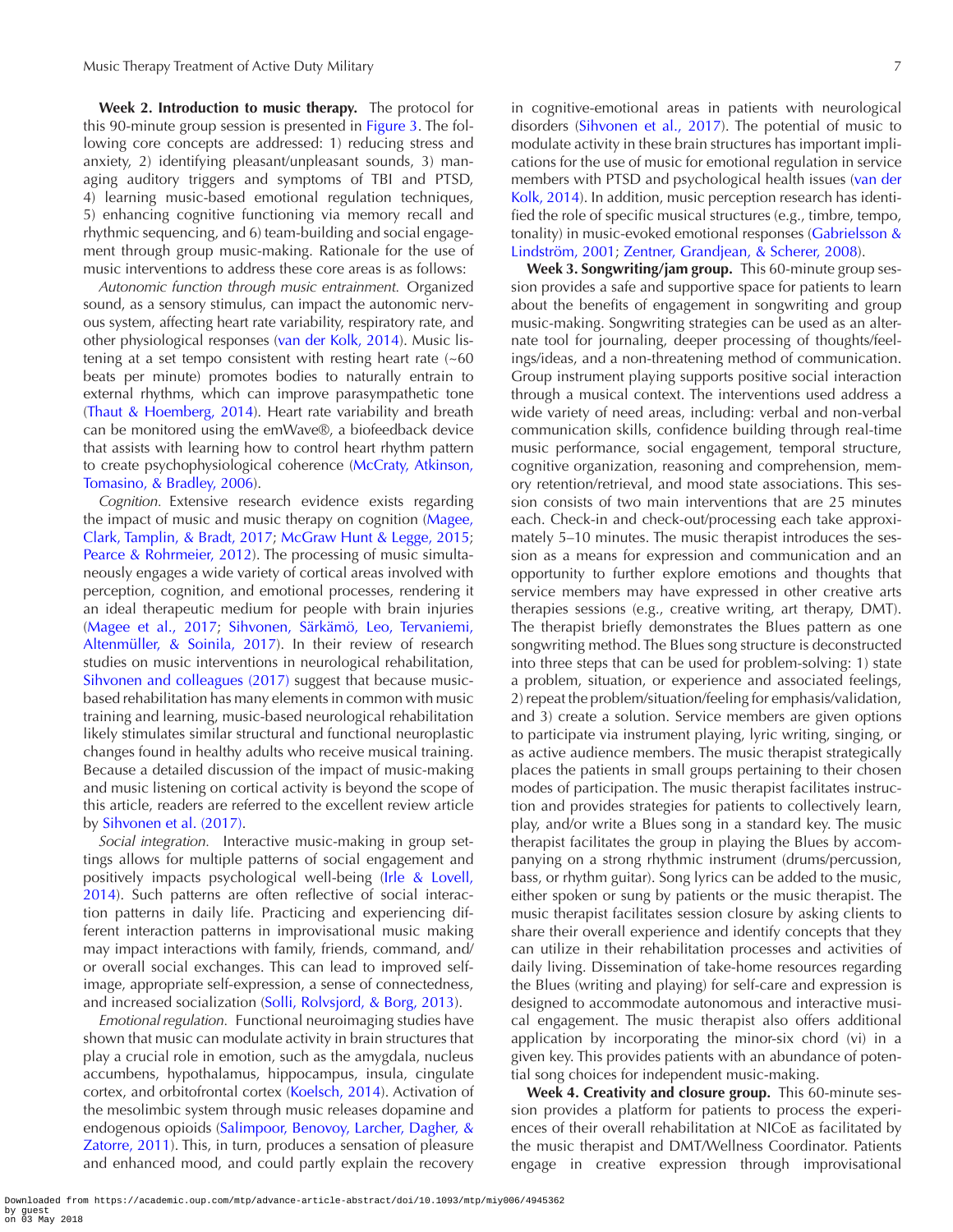**Week 2. Introduction to music therapy.** The protocol for this 90-minute group session is presented in [Figure 3.](#page-7-0) The following core concepts are addressed: 1) reducing stress and anxiety, 2) identifying pleasant/unpleasant sounds, 3) managing auditory triggers and symptoms of TBI and PTSD, 4) learning music-based emotional regulation techniques, 5) enhancing cognitive functioning via memory recall and rhythmic sequencing, and 6) team-building and social engagement through group music-making. Rationale for the use of music interventions to address these core areas is as follows:

*Autonomic function through music entrainment.* Organized sound, as a sensory stimulus, can impact the autonomic nervous system, affecting heart rate variability, respiratory rate, and other physiological responses ([van der Kolk, 2014\)](#page-11-21). Music listening at a set tempo consistent with resting heart rate (~60 beats per minute) promotes bodies to naturally entrain to external rhythms, which can improve parasympathetic tone [\(Thaut & Hoemberg, 2014\)](#page-11-15). Heart rate variability and breath can be monitored using the emWave®, a biofeedback device that assists with learning how to control heart rhythm pattern to create psychophysiological coherence [\(McCraty, Atkinson,](#page-11-30) [Tomasino, & Bradley, 2006\)](#page-11-30).

*Cognition.* Extensive research evidence exists regarding the impact of music and music therapy on cognition [\(Magee,](#page-11-31) [Clark, Tamplin, & Bradt, 2017](#page-11-31); [McGraw Hunt & Legge, 2015;](#page-11-32) [Pearce & Rohrmeier, 2012\)](#page-11-33). The processing of music simultaneously engages a wide variety of cortical areas involved with perception, cognition, and emotional processes, rendering it an ideal therapeutic medium for people with brain injuries [\(Magee et al., 2017;](#page-11-31) [Sihvonen, Särkämö, Leo, Tervaniemi,](#page-11-23) [Altenmüller, & Soinila, 2017\)](#page-11-23). In their review of research studies on music interventions in neurological rehabilitation, [Sihvonen and colleagues \(2017\)](#page-11-23) suggest that because musicbased rehabilitation has many elements in common with music training and learning, music-based neurological rehabilitation likely stimulates similar structural and functional neuroplastic changes found in healthy adults who receive musical training. Because a detailed discussion of the impact of music-making and music listening on cortical activity is beyond the scope of this article, readers are referred to the excellent review article by [Sihvonen et al. \(2017\).](#page-11-23)

*Social integration.* Interactive music-making in group settings allows for multiple patterns of social engagement and positively impacts psychological well-being ([Irle & Lovell,](#page-11-34) [2014\)](#page-11-34). Such patterns are often reflective of social interaction patterns in daily life. Practicing and experiencing different interaction patterns in improvisational music making may impact interactions with family, friends, command, and/ or overall social exchanges. This can lead to improved selfimage, appropriate self-expression, a sense of connectedness, and increased socialization [\(Solli, Rolvsjord, & Borg, 2013](#page-11-35)).

*Emotional regulation.* Functional neuroimaging studies have shown that music can modulate activity in brain structures that play a crucial role in emotion, such as the amygdala, nucleus accumbens, hypothalamus, hippocampus, insula, cingulate cortex, and orbitofrontal cortex ([Koelsch, 2014\)](#page-11-36). Activation of the mesolimbic system through music releases dopamine and endogenous opioids [\(Salimpoor, Benovoy, Larcher, Dagher, &](#page-11-37) [Zatorre, 2011\)](#page-11-37). This, in turn, produces a sensation of pleasure and enhanced mood, and could partly explain the recovery in cognitive-emotional areas in patients with neurological disorders [\(Sihvonen et al., 2017\)](#page-11-23). The potential of music to modulate activity in these brain structures has important implications for the use of music for emotional regulation in service members with PTSD and psychological health issues [\(van der](#page-11-21)  [Kolk, 2014\)](#page-11-21). In addition, music perception research has identified the role of specific musical structures (e.g., timbre, tempo, tonality) in music-evoked emotional responses ([Gabrielsson &](#page-11-38)  [Lindström, 2001;](#page-11-38) [Zentner, Grandjean, & Scherer, 2008](#page-11-39)).

**Week 3. Songwriting/jam group.** This 60-minute group session provides a safe and supportive space for patients to learn about the benefits of engagement in songwriting and group music-making. Songwriting strategies can be used as an alternate tool for journaling, deeper processing of thoughts/feelings/ideas, and a non-threatening method of communication. Group instrument playing supports positive social interaction through a musical context. The interventions used address a wide variety of need areas, including: verbal and non-verbal communication skills, confidence building through real-time music performance, social engagement, temporal structure, cognitive organization, reasoning and comprehension, memory retention/retrieval, and mood state associations. This session consists of two main interventions that are 25 minutes each. Check-in and check-out/processing each take approximately 5–10 minutes. The music therapist introduces the session as a means for expression and communication and an opportunity to further explore emotions and thoughts that service members may have expressed in other creative arts therapies sessions (e.g., creative writing, art therapy, DMT). The therapist briefly demonstrates the Blues pattern as one songwriting method. The Blues song structure is deconstructed into three steps that can be used for problem-solving: 1) state a problem, situation, or experience and associated feelings, 2) repeat the problem/situation/feeling for emphasis/validation, and 3) create a solution. Service members are given options to participate via instrument playing, lyric writing, singing, or as active audience members. The music therapist strategically places the patients in small groups pertaining to their chosen modes of participation. The music therapist facilitates instruction and provides strategies for patients to collectively learn, play, and/or write a Blues song in a standard key. The music therapist facilitates the group in playing the Blues by accompanying on a strong rhythmic instrument (drums/percussion, bass, or rhythm guitar). Song lyrics can be added to the music, either spoken or sung by patients or the music therapist. The music therapist facilitates session closure by asking clients to share their overall experience and identify concepts that they can utilize in their rehabilitation processes and activities of daily living. Dissemination of take-home resources regarding the Blues (writing and playing) for self-care and expression is designed to accommodate autonomous and interactive musical engagement. The music therapist also offers additional application by incorporating the minor-six chord (vi) in a given key. This provides patients with an abundance of potential song choices for independent music-making.

**Week 4. Creativity and closure group.** This 60-minute session provides a platform for patients to process the experiences of their overall rehabilitation at NICoE as facilitated by the music therapist and DMT/Wellness Coordinator. Patients engage in creative expression through improvisational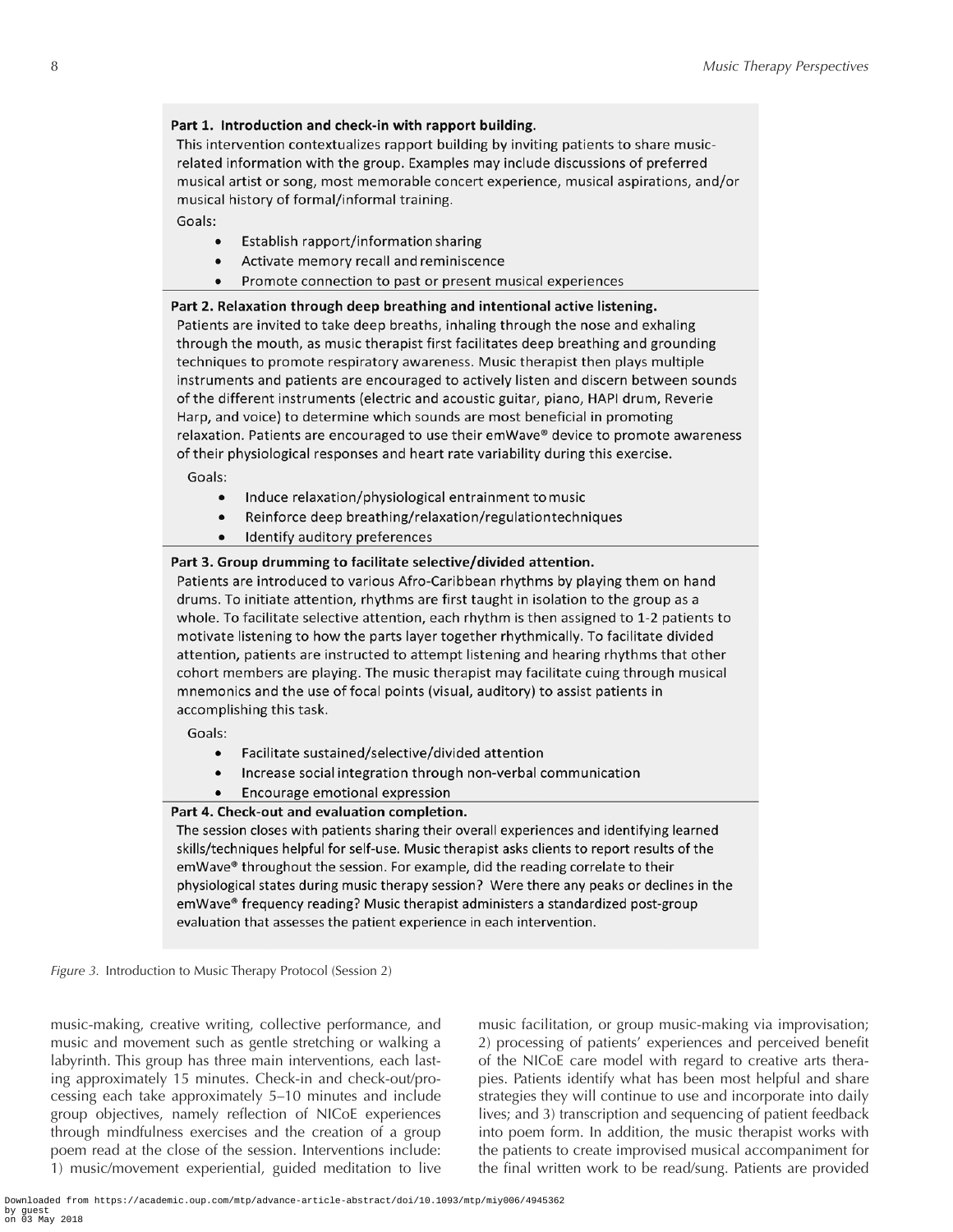# Part 1. Introduction and check-in with rapport building.

This intervention contextualizes rapport building by inviting patients to share musicrelated information with the group. Examples may include discussions of preferred musical artist or song, most memorable concert experience, musical aspirations, and/or musical history of formal/informal training.

Goals:

- Establish rapport/information sharing  $\bullet$
- $\bullet$ Activate memory recall and reminiscence
- Promote connection to past or present musical experiences  $\bullet$

# Part 2. Relaxation through deep breathing and intentional active listening.

Patients are invited to take deep breaths, inhaling through the nose and exhaling through the mouth, as music therapist first facilitates deep breathing and grounding techniques to promote respiratory awareness. Music therapist then plays multiple instruments and patients are encouraged to actively listen and discern between sounds of the different instruments (electric and acoustic guitar, piano, HAPI drum, Reverie Harp, and voice) to determine which sounds are most beneficial in promoting relaxation. Patients are encouraged to use their emWave® device to promote awareness of their physiological responses and heart rate variability during this exercise.

Goals:

- Induce relaxation/physiological entrainment to music
- Reinforce deep breathing/relaxation/regulationtechniques
- Identify auditory preferences  $\bullet$

# Part 3. Group drumming to facilitate selective/divided attention.

Patients are introduced to various Afro-Caribbean rhythms by playing them on hand drums. To initiate attention, rhythms are first taught in isolation to the group as a whole. To facilitate selective attention, each rhythm is then assigned to 1-2 patients to motivate listening to how the parts layer together rhythmically. To facilitate divided attention, patients are instructed to attempt listening and hearing rhythms that other cohort members are playing. The music therapist may facilitate cuing through musical mnemonics and the use of focal points (visual, auditory) to assist patients in accomplishing this task.

Goals:

- Facilitate sustained/selective/divided attention  $\bullet$
- Increase social integration through non-verbal communication
- Encourage emotional expression

# Part 4. Check-out and evaluation completion.

<span id="page-7-0"></span>The session closes with patients sharing their overall experiences and identifying learned skills/techniques helpful for self-use. Music therapist asks clients to report results of the emWave® throughout the session. For example, did the reading correlate to their physiological states during music therapy session? Were there any peaks or declines in the emWave® frequency reading? Music therapist administers a standardized post-group evaluation that assesses the patient experience in each intervention.

*Figure 3.* Introduction to Music Therapy Protocol (Session 2)

music-making, creative writing, collective performance, and music and movement such as gentle stretching or walking a labyrinth. This group has three main interventions, each lasting approximately 15 minutes. Check-in and check-out/processing each take approximately 5–10 minutes and include group objectives, namely reflection of NICoE experiences through mindfulness exercises and the creation of a group poem read at the close of the session. Interventions include: 1) music/movement experiential, guided meditation to live music facilitation, or group music-making via improvisation; 2) processing of patients' experiences and perceived benefit of the NICoE care model with regard to creative arts therapies. Patients identify what has been most helpful and share strategies they will continue to use and incorporate into daily lives; and 3) transcription and sequencing of patient feedback into poem form. In addition, the music therapist works with the patients to create improvised musical accompaniment for the final written work to be read/sung. Patients are provided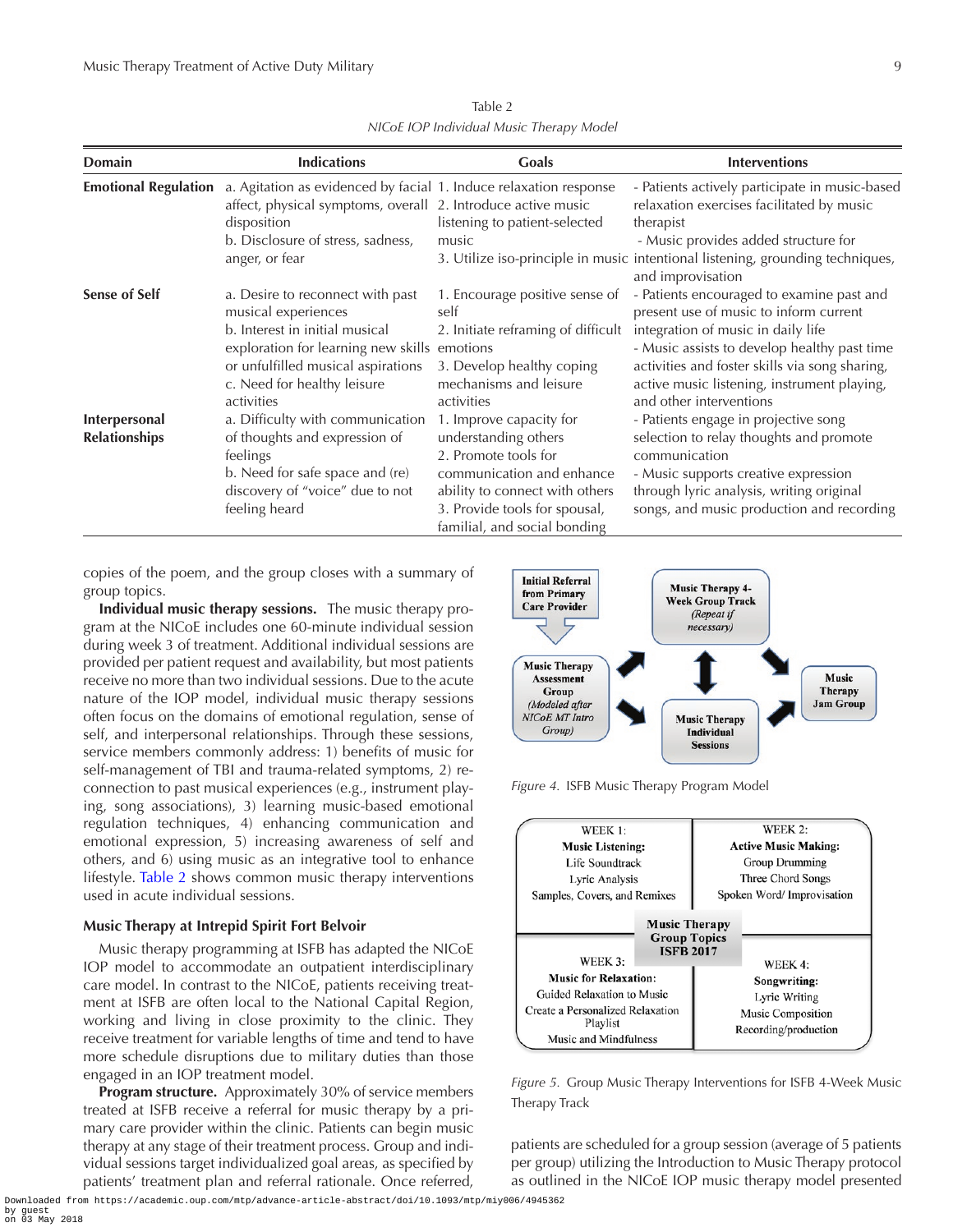| Domain                      | <b>Indications</b>                                                                                                                                                                                                           | Goals                                                                                                                                                                        | <b>Interventions</b>                                                                                                                                                                                                                                                                                  |
|-----------------------------|------------------------------------------------------------------------------------------------------------------------------------------------------------------------------------------------------------------------------|------------------------------------------------------------------------------------------------------------------------------------------------------------------------------|-------------------------------------------------------------------------------------------------------------------------------------------------------------------------------------------------------------------------------------------------------------------------------------------------------|
| <b>Emotional Regulation</b> | a. Agitation as evidenced by facial 1. Induce relaxation response<br>affect, physical symptoms, overall 2. Introduce active music<br>disposition<br>b. Disclosure of stress, sadness,<br>anger, or fear                      | listening to patient-selected<br>music                                                                                                                                       | - Patients actively participate in music-based<br>relaxation exercises facilitated by music<br>therapist<br>- Music provides added structure for<br>3. Utilize iso-principle in music intentional listening, grounding techniques,<br>and improvisation                                               |
| <b>Sense of Self</b>        | a. Desire to reconnect with past<br>musical experiences<br>b. Interest in initial musical<br>exploration for learning new skills emotions<br>or unfulfilled musical aspirations<br>c. Need for healthy leisure<br>activities | 1. Encourage positive sense of<br>self<br>2. Initiate reframing of difficult<br>3. Develop healthy coping<br>mechanisms and leisure<br>activities                            | - Patients encouraged to examine past and<br>present use of music to inform current<br>integration of music in daily life<br>- Music assists to develop healthy past time<br>activities and foster skills via song sharing,<br>active music listening, instrument playing,<br>and other interventions |
| <b>Interpersonal</b>        | a. Difficulty with communication                                                                                                                                                                                             | 1. Improve capacity for                                                                                                                                                      | - Patients engage in projective song                                                                                                                                                                                                                                                                  |
| <b>Relationships</b>        | of thoughts and expression of<br>feelings<br>b. Need for safe space and (re)<br>discovery of "voice" due to not<br>feeling heard                                                                                             | understanding others<br>2. Promote tools for<br>communication and enhance<br>ability to connect with others<br>3. Provide tools for spousal,<br>familial, and social bonding | selection to relay thoughts and promote<br>communication<br>- Music supports creative expression<br>through lyric analysis, writing original<br>songs, and music production and recording                                                                                                             |

**Initial Referral** 

<span id="page-8-0"></span>Table 2 *NICoE IOP Individual Music Therapy Model*

copies of the poem, and the group closes with a summary of group topics.

**Individual music therapy sessions.** The music therapy program at the NICoE includes one 60-minute individual session during week 3 of treatment. Additional individual sessions are provided per patient request and availability, but most patients receive no more than two individual sessions. Due to the acute nature of the IOP model, individual music therapy sessions often focus on the domains of emotional regulation, sense of self, and interpersonal relationships. Through these sessions, service members commonly address: 1) benefits of music for self-management of TBI and trauma-related symptoms, 2) reconnection to past musical experiences (e.g., instrument playing, song associations), 3) learning music-based emotional regulation techniques, 4) enhancing communication and emotional expression, 5) increasing awareness of self and others, and 6) using music as an integrative tool to enhance lifestyle. [Table 2](#page-8-0) shows common music therapy interventions used in acute individual sessions.

#### **Music Therapy at Intrepid Spirit Fort Belvoir**

Music therapy programming at ISFB has adapted the NICoE IOP model to accommodate an outpatient interdisciplinary care model. In contrast to the NICoE, patients receiving treatment at ISFB are often local to the National Capital Region, working and living in close proximity to the clinic. They receive treatment for variable lengths of time and tend to have more schedule disruptions due to military duties than those engaged in an IOP treatment model.

**Program structure.** Approximately 30% of service members treated at ISFB receive a referral for music therapy by a primary care provider within the clinic. Patients can begin music therapy at any stage of their treatment process. Group and individual sessions target individualized goal areas, as specified by patients' treatment plan and referral rationale. Once referred,



<span id="page-8-1"></span>*Figure 4.* ISFB Music Therapy Program Model



<span id="page-8-2"></span>*Figure 5.* Group Music Therapy Interventions for ISFB 4-Week Music Therapy Track

patients are scheduled for a group session (average of 5 patients per group) utilizing the Introduction to Music Therapy protocol as outlined in the NICoE IOP music therapy model presented

Downloaded from https://academic.oup.com/mtp/advance-article-abstract/doi/10.1093/mtp/miy006/4945362 by guest on 03 May 2018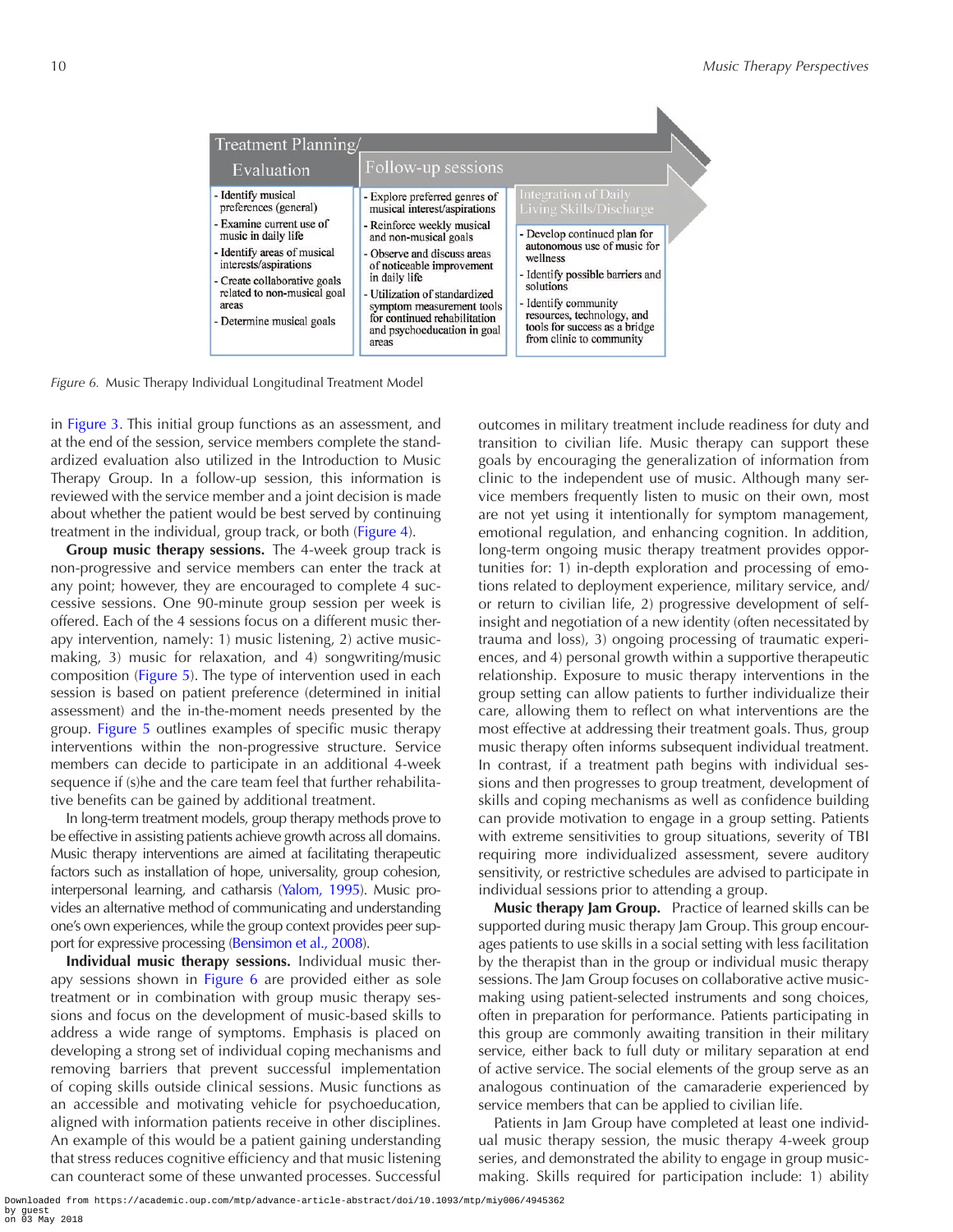

*Figure 6.* Music Therapy Individual Longitudinal Treatment Model

in [Figure 3.](#page-7-0) This initial group functions as an assessment, and at the end of the session, service members complete the standardized evaluation also utilized in the Introduction to Music Therapy Group. In a follow-up session, this information is reviewed with the service member and a joint decision is made about whether the patient would be best served by continuing treatment in the individual, group track, or both ([Figure 4](#page-8-1)).

**Group music therapy sessions.** The 4-week group track is non-progressive and service members can enter the track at any point; however, they are encouraged to complete 4 successive sessions. One 90-minute group session per week is offered. Each of the 4 sessions focus on a different music therapy intervention, namely: 1) music listening, 2) active musicmaking, 3) music for relaxation, and 4) songwriting/music composition ([Figure 5](#page-8-2)). The type of intervention used in each session is based on patient preference (determined in initial assessment) and the in-the-moment needs presented by the group. [Figure 5](#page-8-2) outlines examples of specific music therapy interventions within the non-progressive structure. Service members can decide to participate in an additional 4-week sequence if (s)he and the care team feel that further rehabilitative benefits can be gained by additional treatment.

In long-term treatment models, group therapy methods prove to be effective in assisting patients achieve growth across all domains. Music therapy interventions are aimed at facilitating therapeutic factors such as installation of hope, universality, group cohesion, interpersonal learning, and catharsis [\(Yalom, 1995](#page-11-40)). Music provides an alternative method of communicating and understanding one's own experiences, while the group context provides peer support for expressive processing [\(Bensimon et al., 2008](#page-11-22)).

**Individual music therapy sessions.** Individual music therapy sessions shown in Figure 6 are provided either as sole treatment or in combination with group music therapy sessions and focus on the development of music-based skills to address a wide range of symptoms. Emphasis is placed on developing a strong set of individual coping mechanisms and removing barriers that prevent successful implementation of coping skills outside clinical sessions. Music functions as an accessible and motivating vehicle for psychoeducation, aligned with information patients receive in other disciplines. An example of this would be a patient gaining understanding that stress reduces cognitive efficiency and that music listening can counteract some of these unwanted processes. Successful

<span id="page-9-0"></span>outcomes in military treatment include readiness for duty and transition to civilian life. Music therapy can support these goals by encouraging the generalization of information from clinic to the independent use of music. Although many service members frequently listen to music on their own, most are not yet using it intentionally for symptom management, emotional regulation, and enhancing cognition. In addition, long-term ongoing music therapy treatment provides opportunities for: 1) in-depth exploration and processing of emotions related to deployment experience, military service, and/ or return to civilian life, 2) progressive development of selfinsight and negotiation of a new identity (often necessitated by trauma and loss), 3) ongoing processing of traumatic experiences, and 4) personal growth within a supportive therapeutic relationship. Exposure to music therapy interventions in the group setting can allow patients to further individualize their care, allowing them to reflect on what interventions are the most effective at addressing their treatment goals. Thus, group music therapy often informs subsequent individual treatment. In contrast, if a treatment path begins with individual sessions and then progresses to group treatment, development of skills and coping mechanisms as well as confidence building can provide motivation to engage in a group setting. Patients with extreme sensitivities to group situations, severity of TBI requiring more individualized assessment, severe auditory sensitivity, or restrictive schedules are advised to participate in individual sessions prior to attending a group.

**Music therapy Jam Group.** Practice of learned skills can be supported during music therapy Jam Group. This group encourages patients to use skills in a social setting with less facilitation by the therapist than in the group or individual music therapy sessions. The Jam Group focuses on collaborative active musicmaking using patient-selected instruments and song choices, often in preparation for performance. Patients participating in this group are commonly awaiting transition in their military service, either back to full duty or military separation at end of active service. The social elements of the group serve as an analogous continuation of the camaraderie experienced by service members that can be applied to civilian life.

Patients in Jam Group have completed at least one individual music therapy session, the music therapy 4-week group series, and demonstrated the ability to engage in group musicmaking. Skills required for participation include: 1) ability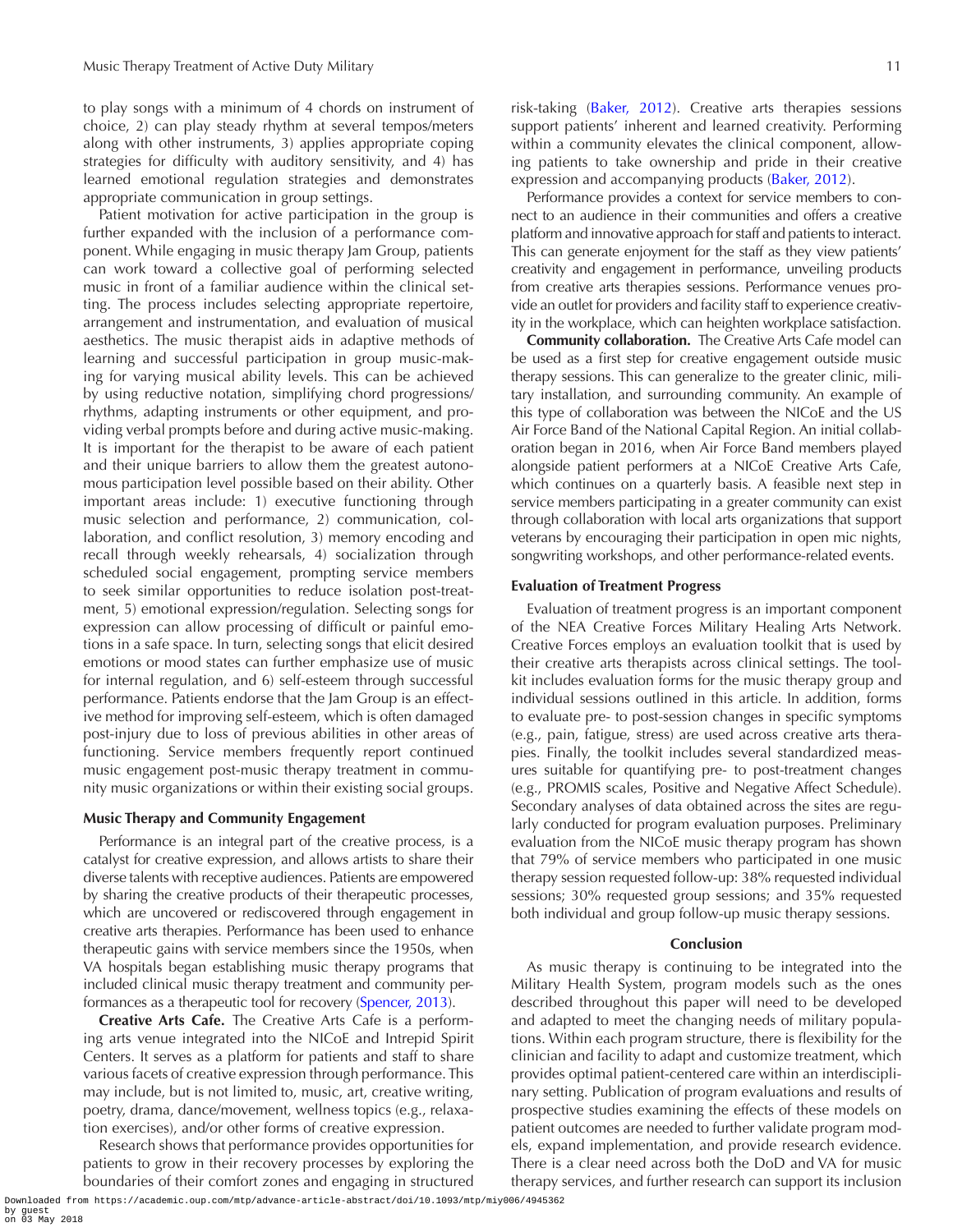to play songs with a minimum of 4 chords on instrument of choice, 2) can play steady rhythm at several tempos/meters along with other instruments, 3) applies appropriate coping strategies for difficulty with auditory sensitivity, and 4) has learned emotional regulation strategies and demonstrates appropriate communication in group settings.

Patient motivation for active participation in the group is further expanded with the inclusion of a performance component. While engaging in music therapy Jam Group, patients can work toward a collective goal of performing selected music in front of a familiar audience within the clinical setting. The process includes selecting appropriate repertoire, arrangement and instrumentation, and evaluation of musical aesthetics. The music therapist aids in adaptive methods of learning and successful participation in group music-making for varying musical ability levels. This can be achieved by using reductive notation, simplifying chord progressions/ rhythms, adapting instruments or other equipment, and providing verbal prompts before and during active music-making. It is important for the therapist to be aware of each patient and their unique barriers to allow them the greatest autonomous participation level possible based on their ability. Other important areas include: 1) executive functioning through music selection and performance, 2) communication, collaboration, and conflict resolution, 3) memory encoding and recall through weekly rehearsals, 4) socialization through scheduled social engagement, prompting service members to seek similar opportunities to reduce isolation post-treatment, 5) emotional expression/regulation. Selecting songs for expression can allow processing of difficult or painful emotions in a safe space. In turn, selecting songs that elicit desired emotions or mood states can further emphasize use of music for internal regulation, and 6) self-esteem through successful performance. Patients endorse that the Jam Group is an effective method for improving self-esteem, which is often damaged post-injury due to loss of previous abilities in other areas of functioning. Service members frequently report continued music engagement post-music therapy treatment in community music organizations or within their existing social groups.

#### **Music Therapy and Community Engagement**

Performance is an integral part of the creative process, is a catalyst for creative expression, and allows artists to share their diverse talents with receptive audiences. Patients are empowered by sharing the creative products of their therapeutic processes, which are uncovered or rediscovered through engagement in creative arts therapies. Performance has been used to enhance therapeutic gains with service members since the 1950s, when VA hospitals began establishing music therapy programs that included clinical music therapy treatment and community performances as a therapeutic tool for recovery [\(Spencer, 2013\)](#page-11-41).

**Creative Arts Cafe.** The Creative Arts Cafe is a performing arts venue integrated into the NICoE and Intrepid Spirit Centers. It serves as a platform for patients and staff to share various facets of creative expression through performance. This may include, but is not limited to, music, art, creative writing, poetry, drama, dance/movement, wellness topics (e.g., relaxation exercises), and/or other forms of creative expression.

Research shows that performance provides opportunities for patients to grow in their recovery processes by exploring the boundaries of their comfort zones and engaging in structured

risk-taking ([Baker, 2012](#page-11-42)). Creative arts therapies sessions support patients' inherent and learned creativity. Performing within a community elevates the clinical component, allowing patients to take ownership and pride in their creative expression and accompanying products ([Baker, 2012\)](#page-11-42).

Performance provides a context for service members to connect to an audience in their communities and offers a creative platform and innovative approach for staff and patients to interact. This can generate enjoyment for the staff as they view patients' creativity and engagement in performance, unveiling products from creative arts therapies sessions. Performance venues provide an outlet for providers and facility staff to experience creativity in the workplace, which can heighten workplace satisfaction.

**Community collaboration.** The Creative Arts Cafe model can be used as a first step for creative engagement outside music therapy sessions. This can generalize to the greater clinic, military installation, and surrounding community. An example of this type of collaboration was between the NICoE and the US Air Force Band of the National Capital Region. An initial collaboration began in 2016, when Air Force Band members played alongside patient performers at a NICoE Creative Arts Cafe, which continues on a quarterly basis. A feasible next step in service members participating in a greater community can exist through collaboration with local arts organizations that support veterans by encouraging their participation in open mic nights, songwriting workshops, and other performance-related events.

#### **Evaluation of Treatment Progress**

Evaluation of treatment progress is an important component of the NEA Creative Forces Military Healing Arts Network. Creative Forces employs an evaluation toolkit that is used by their creative arts therapists across clinical settings. The toolkit includes evaluation forms for the music therapy group and individual sessions outlined in this article. In addition, forms to evaluate pre- to post-session changes in specific symptoms (e.g., pain, fatigue, stress) are used across creative arts therapies. Finally, the toolkit includes several standardized measures suitable for quantifying pre- to post-treatment changes (e.g., PROMIS scales, Positive and Negative Affect Schedule). Secondary analyses of data obtained across the sites are regularly conducted for program evaluation purposes. Preliminary evaluation from the NICoE music therapy program has shown that 79% of service members who participated in one music therapy session requested follow-up: 38% requested individual sessions; 30% requested group sessions; and 35% requested both individual and group follow-up music therapy sessions.

# **Conclusion**

As music therapy is continuing to be integrated into the Military Health System, program models such as the ones described throughout this paper will need to be developed and adapted to meet the changing needs of military populations. Within each program structure, there is flexibility for the clinician and facility to adapt and customize treatment, which provides optimal patient-centered care within an interdisciplinary setting. Publication of program evaluations and results of prospective studies examining the effects of these models on patient outcomes are needed to further validate program models, expand implementation, and provide research evidence. There is a clear need across both the DoD and VA for music therapy services, and further research can support its inclusion